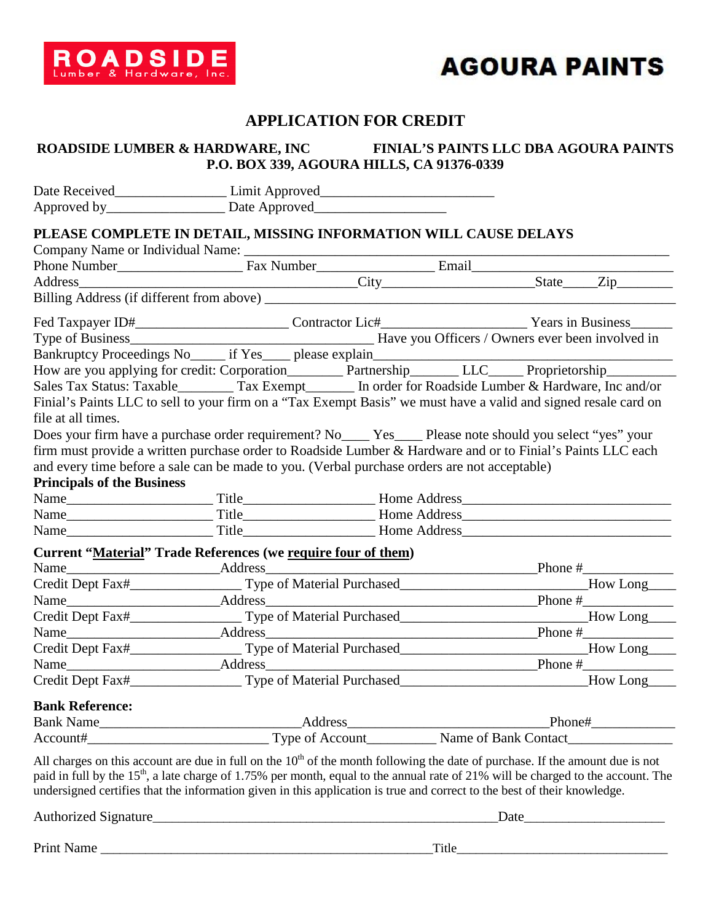

### **APPLICATION FOR CREDIT**

### **ROADSIDE LUMBER & HARDWARE, INC FINIAL'S PAINTS LLC DBA AGOURA PAINTS P.O. BOX 339, AGOURA HILLS, CA 91376-0339**

|                                   | Date Received_______________________Limit Approved______________________________                                                                                                                                                                                                                                                                                                                            |  |       |           |
|-----------------------------------|-------------------------------------------------------------------------------------------------------------------------------------------------------------------------------------------------------------------------------------------------------------------------------------------------------------------------------------------------------------------------------------------------------------|--|-------|-----------|
|                                   | PLEASE COMPLETE IN DETAIL, MISSING INFORMATION WILL CAUSE DELAYS                                                                                                                                                                                                                                                                                                                                            |  |       |           |
|                                   |                                                                                                                                                                                                                                                                                                                                                                                                             |  |       |           |
|                                   |                                                                                                                                                                                                                                                                                                                                                                                                             |  |       |           |
| Address                           |                                                                                                                                                                                                                                                                                                                                                                                                             |  |       |           |
|                                   |                                                                                                                                                                                                                                                                                                                                                                                                             |  |       |           |
|                                   | Fed Taxpayer ID#_____________________________Contractor Lic#___________________________Years in Business__                                                                                                                                                                                                                                                                                                  |  |       |           |
|                                   |                                                                                                                                                                                                                                                                                                                                                                                                             |  |       |           |
|                                   |                                                                                                                                                                                                                                                                                                                                                                                                             |  |       |           |
|                                   |                                                                                                                                                                                                                                                                                                                                                                                                             |  |       |           |
|                                   | Sales Tax Status: Taxable __________ Tax Exempt ________ In order for Roadside Lumber & Hardware, Inc and/or                                                                                                                                                                                                                                                                                                |  |       |           |
|                                   | Finial's Paints LLC to sell to your firm on a "Tax Exempt Basis" we must have a valid and signed resale card on                                                                                                                                                                                                                                                                                             |  |       |           |
| file at all times.                |                                                                                                                                                                                                                                                                                                                                                                                                             |  |       |           |
|                                   | Does your firm have a purchase order requirement? No____ Yes____ Please note should you select "yes" your                                                                                                                                                                                                                                                                                                   |  |       |           |
|                                   | firm must provide a written purchase order to Roadside Lumber & Hardware and or to Finial's Paints LLC each                                                                                                                                                                                                                                                                                                 |  |       |           |
|                                   | and every time before a sale can be made to you. (Verbal purchase orders are not acceptable)                                                                                                                                                                                                                                                                                                                |  |       |           |
| <b>Principals of the Business</b> |                                                                                                                                                                                                                                                                                                                                                                                                             |  |       |           |
|                                   |                                                                                                                                                                                                                                                                                                                                                                                                             |  |       |           |
|                                   |                                                                                                                                                                                                                                                                                                                                                                                                             |  |       |           |
|                                   |                                                                                                                                                                                                                                                                                                                                                                                                             |  |       |           |
|                                   | <b>Current "Material" Trade References (we require four of them)</b>                                                                                                                                                                                                                                                                                                                                        |  |       |           |
|                                   | Name <b>Manual</b> Address Manual Address Address Address Address Address Anual Address Address Address Address Address Anual Address Address Address Address Address Address Address Address Address Address Address Address Addre                                                                                                                                                                         |  |       | Phone $#$ |
|                                   |                                                                                                                                                                                                                                                                                                                                                                                                             |  |       |           |
|                                   | $Phone \#$                                                                                                                                                                                                                                                                                                                                                                                                  |  |       |           |
|                                   |                                                                                                                                                                                                                                                                                                                                                                                                             |  |       |           |
|                                   |                                                                                                                                                                                                                                                                                                                                                                                                             |  |       |           |
|                                   | Credit Dept Fax#____________________Type of Material Purchased__________________________How Long____                                                                                                                                                                                                                                                                                                        |  |       |           |
|                                   |                                                                                                                                                                                                                                                                                                                                                                                                             |  |       |           |
|                                   |                                                                                                                                                                                                                                                                                                                                                                                                             |  |       |           |
| <b>Bank Reference:</b>            |                                                                                                                                                                                                                                                                                                                                                                                                             |  |       |           |
|                                   |                                                                                                                                                                                                                                                                                                                                                                                                             |  |       |           |
|                                   | Bank Name  Manne  Address  Manne Chank Contact  Manne Chank Contact  Account Exercise Contact  Account Exercise Contact  Account Exercise Contact  Account Exercise Contact  Account Exercise Contact  Account Exercise Contac                                                                                                                                                                              |  |       |           |
|                                   | All charges on this account are due in full on the $10th$ of the month following the date of purchase. If the amount due is not<br>paid in full by the 15 <sup>th</sup> , a late charge of 1.75% per month, equal to the annual rate of 21% will be charged to the account. The<br>undersigned certifies that the information given in this application is true and correct to the best of their knowledge. |  |       |           |
| Authorized Signature_             | <u> 2002 - Jan James James Jan James James James James James James James James James James James James James Jam</u>                                                                                                                                                                                                                                                                                        |  | Date_ |           |

Print Name \_\_\_\_\_\_\_\_\_\_\_\_\_\_\_\_\_\_\_\_\_\_\_\_\_\_\_\_\_\_\_\_\_\_\_\_\_\_\_\_\_\_\_\_\_\_\_\_\_\_\_\_Title\_\_\_\_\_\_\_\_\_\_\_\_\_\_\_\_\_\_\_\_\_\_\_\_\_\_\_\_\_\_\_\_\_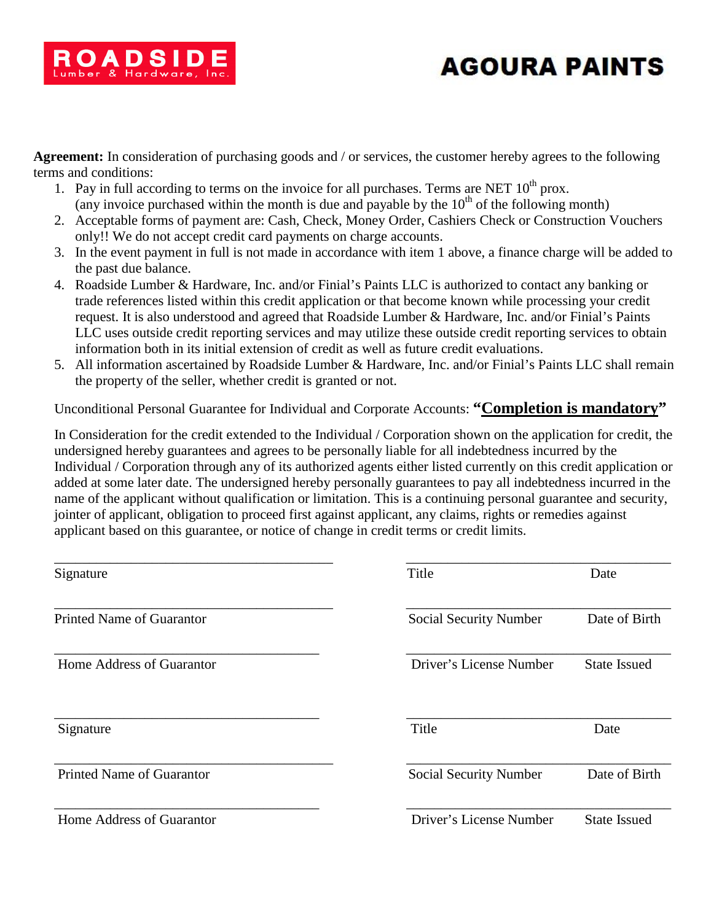**Agreement:** In consideration of purchasing goods and / or services, the customer hereby agrees to the following terms and conditions:

ROADSIDE

- 1. Pay in full according to terms on the invoice for all purchases. Terms are NET  $10^{th}$  prox. (any invoice purchased within the month is due and payable by the 10<sup>th</sup> of the following month)
- 2. Acceptable forms of payment are: Cash, Check, Money Order, Cashiers Check or Construction Vouchers only!! We do not accept credit card payments on charge accounts.
- 3. In the event payment in full is not made in accordance with item 1 above, a finance charge will be added to the past due balance.
- 4. Roadside Lumber & Hardware, Inc. and/or Finial's Paints LLC is authorized to contact any banking or trade references listed within this credit application or that become known while processing your credit request. It is also understood and agreed that Roadside Lumber & Hardware, Inc. and/or Finial's Paints LLC uses outside credit reporting services and may utilize these outside credit reporting services to obtain information both in its initial extension of credit as well as future credit evaluations.
- 5. All information ascertained by Roadside Lumber & Hardware, Inc. and/or Finial's Paints LLC shall remain the property of the seller, whether credit is granted or not.

Unconditional Personal Guarantee for Individual and Corporate Accounts: **"Completion is mandatory"**

In Consideration for the credit extended to the Individual / Corporation shown on the application for credit, the undersigned hereby guarantees and agrees to be personally liable for all indebtedness incurred by the Individual / Corporation through any of its authorized agents either listed currently on this credit application or added at some later date. The undersigned hereby personally guarantees to pay all indebtedness incurred in the name of the applicant without qualification or limitation. This is a continuing personal guarantee and security, jointer of applicant, obligation to proceed first against applicant, any claims, rights or remedies against applicant based on this guarantee, or notice of change in credit terms or credit limits.

| Signature                        | Title                         | Date                |
|----------------------------------|-------------------------------|---------------------|
| Printed Name of Guarantor        | Social Security Number        | Date of Birth       |
| Home Address of Guarantor        | Driver's License Number       | <b>State Issued</b> |
| Signature                        | Title                         | Date                |
| <b>Printed Name of Guarantor</b> | <b>Social Security Number</b> | Date of Birth       |
| Home Address of Guarantor        | Driver's License Number       | <b>State Issued</b> |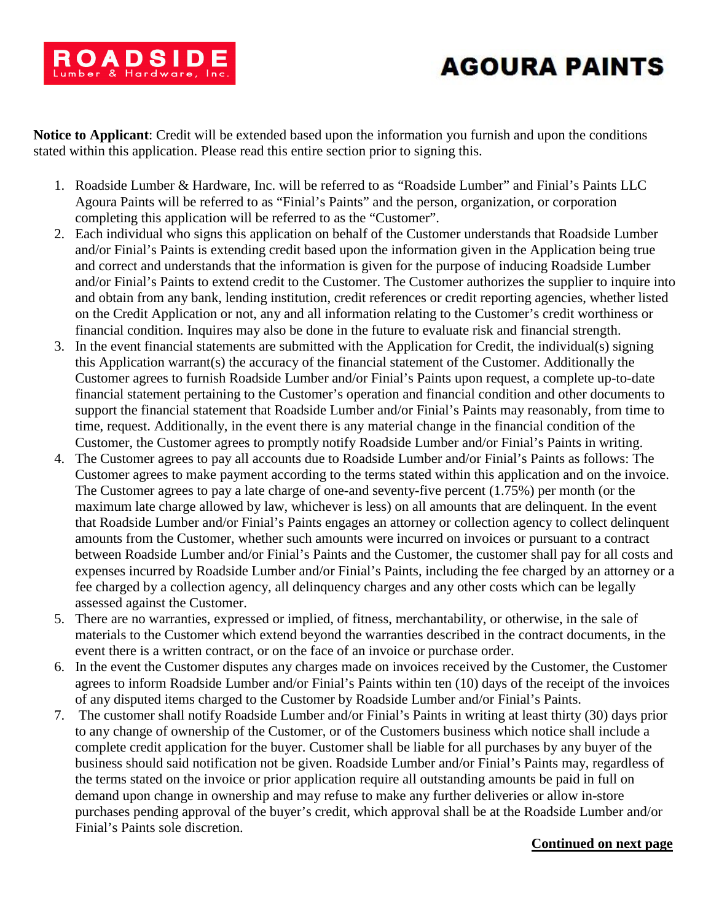

**Notice to Applicant**: Credit will be extended based upon the information you furnish and upon the conditions stated within this application. Please read this entire section prior to signing this.

- 1. Roadside Lumber & Hardware, Inc. will be referred to as "Roadside Lumber" and Finial's Paints LLC Agoura Paints will be referred to as "Finial's Paints" and the person, organization, or corporation completing this application will be referred to as the "Customer".
- 2. Each individual who signs this application on behalf of the Customer understands that Roadside Lumber and/or Finial's Paints is extending credit based upon the information given in the Application being true and correct and understands that the information is given for the purpose of inducing Roadside Lumber and/or Finial's Paints to extend credit to the Customer. The Customer authorizes the supplier to inquire into and obtain from any bank, lending institution, credit references or credit reporting agencies, whether listed on the Credit Application or not, any and all information relating to the Customer's credit worthiness or financial condition. Inquires may also be done in the future to evaluate risk and financial strength.
- 3. In the event financial statements are submitted with the Application for Credit, the individual(s) signing this Application warrant(s) the accuracy of the financial statement of the Customer. Additionally the Customer agrees to furnish Roadside Lumber and/or Finial's Paints upon request, a complete up-to-date financial statement pertaining to the Customer's operation and financial condition and other documents to support the financial statement that Roadside Lumber and/or Finial's Paints may reasonably, from time to time, request. Additionally, in the event there is any material change in the financial condition of the Customer, the Customer agrees to promptly notify Roadside Lumber and/or Finial's Paints in writing.
- 4. The Customer agrees to pay all accounts due to Roadside Lumber and/or Finial's Paints as follows: The Customer agrees to make payment according to the terms stated within this application and on the invoice. The Customer agrees to pay a late charge of one-and seventy-five percent (1.75%) per month (or the maximum late charge allowed by law, whichever is less) on all amounts that are delinquent. In the event that Roadside Lumber and/or Finial's Paints engages an attorney or collection agency to collect delinquent amounts from the Customer, whether such amounts were incurred on invoices or pursuant to a contract between Roadside Lumber and/or Finial's Paints and the Customer, the customer shall pay for all costs and expenses incurred by Roadside Lumber and/or Finial's Paints, including the fee charged by an attorney or a fee charged by a collection agency, all delinquency charges and any other costs which can be legally assessed against the Customer.
- 5. There are no warranties, expressed or implied, of fitness, merchantability, or otherwise, in the sale of materials to the Customer which extend beyond the warranties described in the contract documents, in the event there is a written contract, or on the face of an invoice or purchase order.
- 6. In the event the Customer disputes any charges made on invoices received by the Customer, the Customer agrees to inform Roadside Lumber and/or Finial's Paints within ten (10) days of the receipt of the invoices of any disputed items charged to the Customer by Roadside Lumber and/or Finial's Paints.
- 7. The customer shall notify Roadside Lumber and/or Finial's Paints in writing at least thirty (30) days prior to any change of ownership of the Customer, or of the Customers business which notice shall include a complete credit application for the buyer. Customer shall be liable for all purchases by any buyer of the business should said notification not be given. Roadside Lumber and/or Finial's Paints may, regardless of the terms stated on the invoice or prior application require all outstanding amounts be paid in full on demand upon change in ownership and may refuse to make any further deliveries or allow in-store purchases pending approval of the buyer's credit, which approval shall be at the Roadside Lumber and/or Finial's Paints sole discretion.

### **Continued on next page**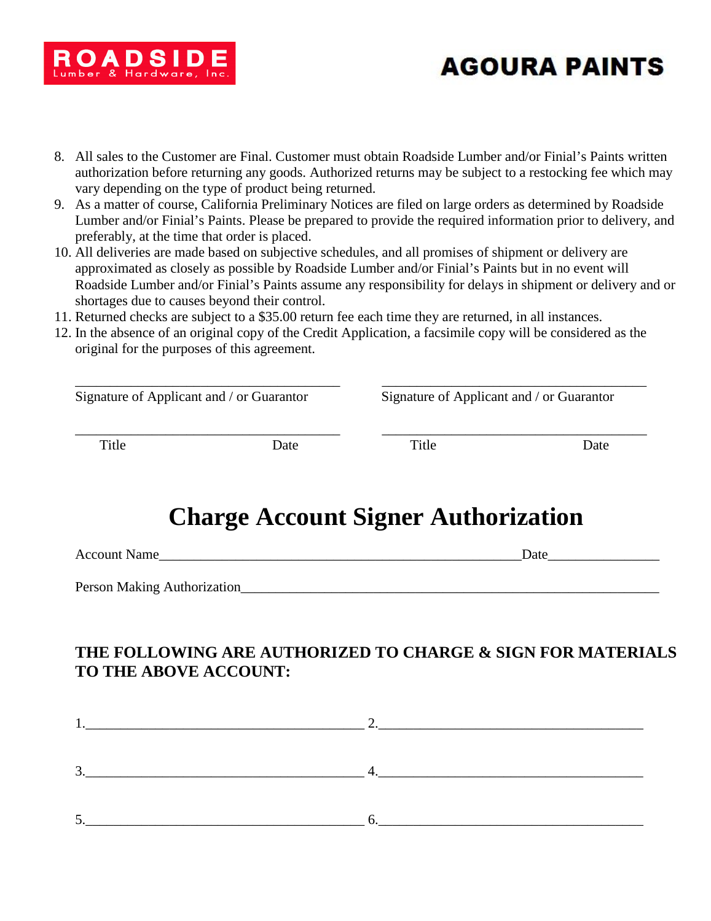

- 8. All sales to the Customer are Final. Customer must obtain Roadside Lumber and/or Finial's Paints written authorization before returning any goods. Authorized returns may be subject to a restocking fee which may vary depending on the type of product being returned.
- 9. As a matter of course, California Preliminary Notices are filed on large orders as determined by Roadside Lumber and/or Finial's Paints. Please be prepared to provide the required information prior to delivery, and preferably, at the time that order is placed.
- 10. All deliveries are made based on subjective schedules, and all promises of shipment or delivery are approximated as closely as possible by Roadside Lumber and/or Finial's Paints but in no event will Roadside Lumber and/or Finial's Paints assume any responsibility for delays in shipment or delivery and or shortages due to causes beyond their control.
- 11. Returned checks are subject to a \$35.00 return fee each time they are returned, in all instances.
- 12. In the absence of an original copy of the Credit Application, a facsimile copy will be considered as the original for the purposes of this agreement.

| Signature of Applicant and / or Guarantor |      | Signature of Applicant and / or Guarantor |      |
|-------------------------------------------|------|-------------------------------------------|------|
| Title                                     | Date | Title                                     | Date |

# **Charge Account Signer Authorization**

Account Name **Learning Control** and the set of the set of the set of the set of the set of the set of the set of the set of the set of the set of the set of the set of the set of the set of the set of the set of the set of

Person Making Authorization\_\_\_\_\_\_\_\_\_\_\_\_\_\_\_\_\_\_\_\_\_\_\_\_\_\_\_\_\_\_\_\_\_\_\_\_\_\_\_\_\_\_\_\_\_\_\_\_\_\_\_\_\_\_\_\_\_\_\_\_

## **THE FOLLOWING ARE AUTHORIZED TO CHARGE & SIGN FOR MATERIALS TO THE ABOVE ACCOUNT:**

| ⌒ |  |
|---|--|
| ◡ |  |
|   |  |
| ັ |  |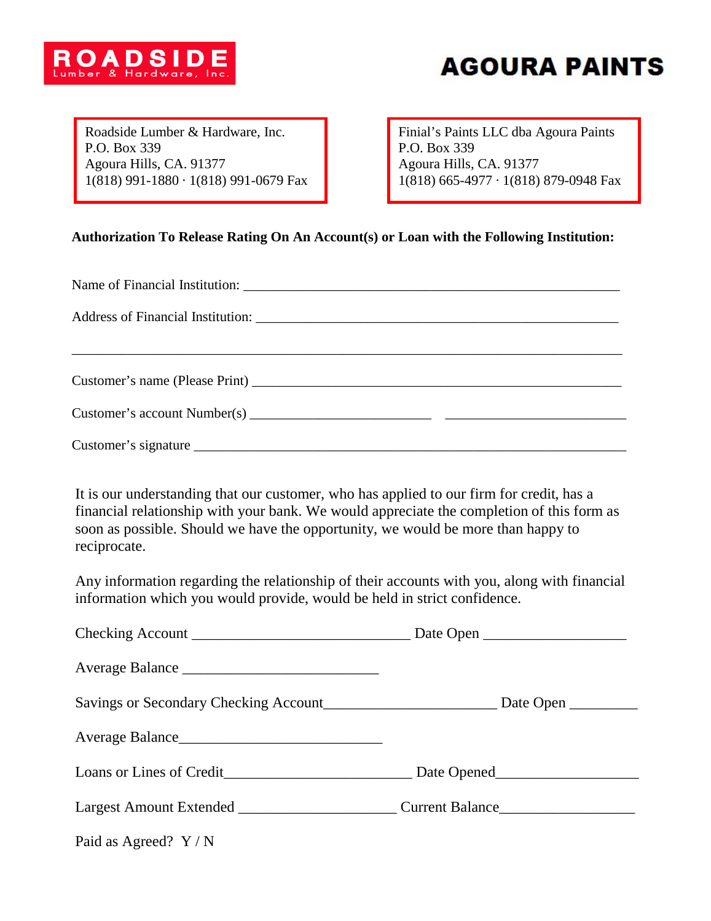Roadside Lumber & Hardware, Inc. P.O. Box 339 Agoura Hills, CA. 91377 1(818) 991-1880 ∙ 1(818) 991-0679 Fax Finial's Paints LLC dba Agoura Paints P.O. Box 339 Agoura Hills, CA. 91377 1(818) 665-4977 ∙ 1(818) 879-0948 Fax

### **Authorization To Release Rating On An Account(s) or Loan with the Following Institution:**

| Customer's name (Please Print) |  |  |
|--------------------------------|--|--|
|                                |  |  |
|                                |  |  |

It is our understanding that our customer, who has applied to our firm for credit, has a financial relationship with your bank. We would appreciate the completion of this form as soon as possible. Should we have the opportunity, we would be more than happy to reciprocate.

Any information regarding the relationship of their accounts with you, along with financial information which you would provide, would be held in strict confidence.

| Paid as Agreed? $Y/N$ |  |
|-----------------------|--|